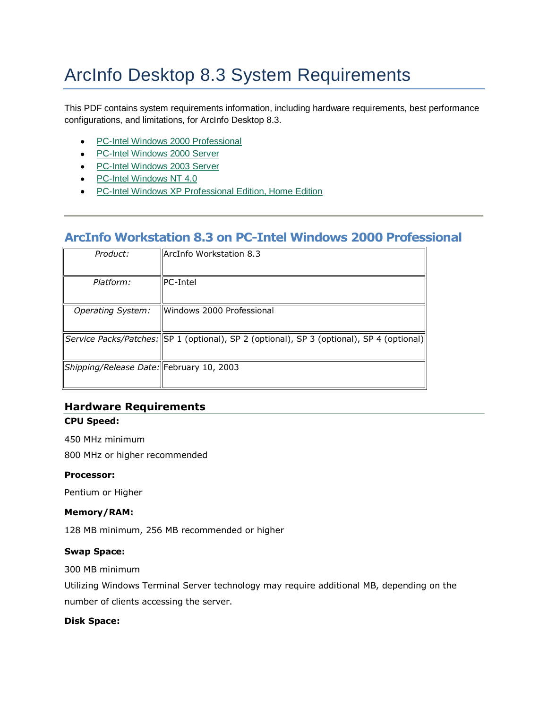# ArcInfo Desktop 8.3 System Requirements

This PDF contains system requirements information, including hardware requirements, best performance configurations, and limitations, for ArcInfo Desktop 8.3.

- PC-Intel Windows 2000 Professional
- PC-Intel Windows 2000 Server
- PC-Intel Windows 2003 Server
- PC-Intel Windows NT 4.0
- PC-Intel Windows XP Professional Edition, Home Edition

# **ArcInfo Workstation 8.3 on PC-Intel Windows 2000 Professional**

| Product:                                 | <b>ArcInfo Workstation 8.3</b>                                                              |
|------------------------------------------|---------------------------------------------------------------------------------------------|
| Platform:                                | <b>IPC-Intel</b>                                                                            |
| <b>Operating System:</b>                 | llWindows 2000 Professional                                                                 |
|                                          | Service Packs/Patches:   SP 1 (optional), SP 2 (optional), SP 3 (optional), SP 4 (optional) |
| Shipping/Release Date: February 10, 2003 |                                                                                             |

# **Hardware Requirements**

#### **CPU Speed:**

450 MHz minimum

800 MHz or higher recommended

#### **Processor:**

Pentium or Higher

#### **Memory/RAM:**

128 MB minimum, 256 MB recommended or higher

#### **Swap Space:**

300 MB minimum

Utilizing Windows Terminal Server technology may require additional MB, depending on the number of clients accessing the server.

#### **Disk Space:**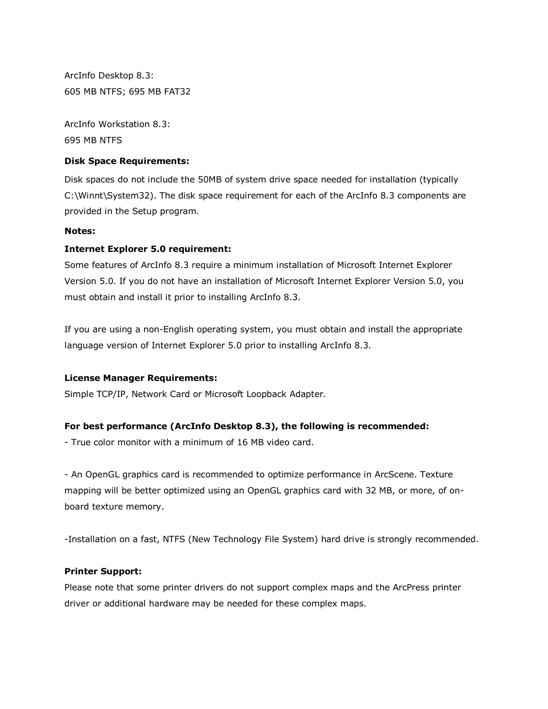ArcInfo Desktop 8.3: 605 MB NTFS; 695 MB FAT32

ArcInfo Workstation 8.3: 695 MB NTFS

#### **Disk Space Requirements:**

Disk spaces do not include the 50MB of system drive space needed for installation (typically C:\Winnt\System32). The disk space requirement for each of the ArcInfo 8.3 components are provided in the Setup program.

#### **Notes:**

#### **Internet Explorer 5.0 requirement:**

Some features of ArcInfo 8.3 require a minimum installation of Microsoft Internet Explorer Version 5.0. If you do not have an installation of Microsoft Internet Explorer Version 5.0, you must obtain and install it prior to installing ArcInfo 8.3.

If you are using a non-English operating system, you must obtain and install the appropriate language version of Internet Explorer 5.0 prior to installing ArcInfo 8.3.

#### **License Manager Requirements:**

Simple TCP/IP, Network Card or Microsoft Loopback Adapter.

#### **For best performance (ArcInfo Desktop 8.3), the following is recommended:**

- True color monitor with a minimum of 16 MB video card.

- An OpenGL graphics card is recommended to optimize performance in ArcScene. Texture mapping will be better optimized using an OpenGL graphics card with 32 MB, or more, of onboard texture memory.

-Installation on a fast, NTFS (New Technology File System) hard drive is strongly recommended.

#### **Printer Support:**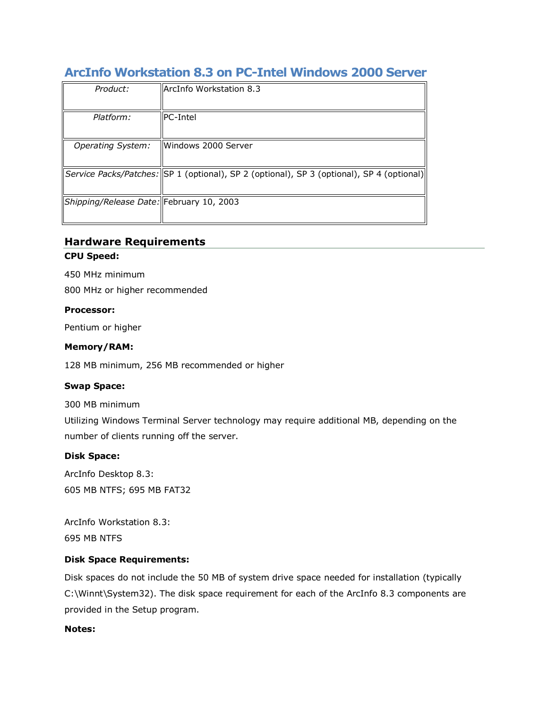# **ArcInfo Workstation 8.3 on PC-Intel Windows 2000 Server**

| Product:                                 | ArcInfo Workstation 8.3                                                                     |
|------------------------------------------|---------------------------------------------------------------------------------------------|
| Platform:                                | <b>PC-Intel</b>                                                                             |
| <b>Operating System:</b>                 | Windows 2000 Server                                                                         |
|                                          | Service Packs/Patches:   SP 1 (optional), SP 2 (optional), SP 3 (optional), SP 4 (optional) |
| Shipping/Release Date: February 10, 2003 |                                                                                             |

## **Hardware Requirements**

#### **CPU Speed:**

450 MHz minimum

800 MHz or higher recommended

#### **Processor:**

Pentium or higher

#### **Memory/RAM:**

128 MB minimum, 256 MB recommended or higher

#### **Swap Space:**

300 MB minimum

Utilizing Windows Terminal Server technology may require additional MB, depending on the number of clients running off the server.

#### **Disk Space:**

ArcInfo Desktop 8.3: 605 MB NTFS; 695 MB FAT32

ArcInfo Workstation 8.3: 695 MB NTFS

#### **Disk Space Requirements:**

Disk spaces do not include the 50 MB of system drive space needed for installation (typically C:\Winnt\System32). The disk space requirement for each of the ArcInfo 8.3 components are provided in the Setup program.

#### **Notes:**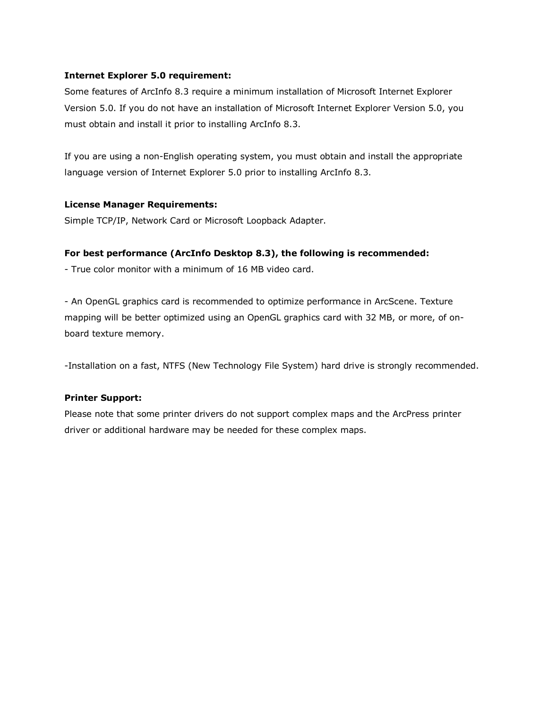#### **Internet Explorer 5.0 requirement:**

Some features of ArcInfo 8.3 require a minimum installation of Microsoft Internet Explorer Version 5.0. If you do not have an installation of Microsoft Internet Explorer Version 5.0, you must obtain and install it prior to installing ArcInfo 8.3.

If you are using a non-English operating system, you must obtain and install the appropriate language version of Internet Explorer 5.0 prior to installing ArcInfo 8.3.

#### **License Manager Requirements:**

Simple TCP/IP, Network Card or Microsoft Loopback Adapter.

#### **For best performance (ArcInfo Desktop 8.3), the following is recommended:**

- True color monitor with a minimum of 16 MB video card.

- An OpenGL graphics card is recommended to optimize performance in ArcScene. Texture mapping will be better optimized using an OpenGL graphics card with 32 MB, or more, of onboard texture memory.

-Installation on a fast, NTFS (New Technology File System) hard drive is strongly recommended.

#### **Printer Support:**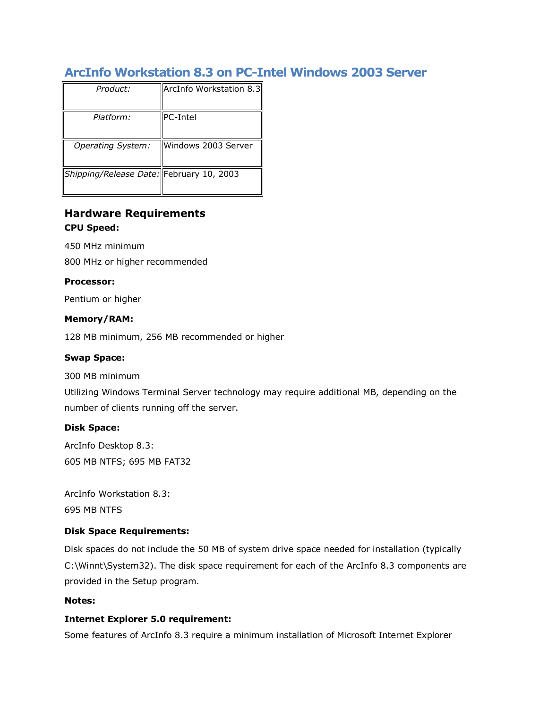# **ArcInfo Workstation 8.3 on PC-Intel Windows 2003 Server**

| Product:                                 | ArcInfo Workstation 8.3 |
|------------------------------------------|-------------------------|
| Platform:                                | <b>PC-Intel</b>         |
| <b>Operating System:</b>                 | Windows 2003 Server     |
| Shipping/Release Date: February 10, 2003 |                         |

# **Hardware Requirements CPU Speed:**

450 MHz minimum

800 MHz or higher recommended

#### **Processor:**

Pentium or higher

#### **Memory/RAM:**

128 MB minimum, 256 MB recommended or higher

#### **Swap Space:**

300 MB minimum

Utilizing Windows Terminal Server technology may require additional MB, depending on the number of clients running off the server.

#### **Disk Space:**

ArcInfo Desktop 8.3: 605 MB NTFS; 695 MB FAT32

ArcInfo Workstation 8.3: 695 MB NTFS

#### **Disk Space Requirements:**

Disk spaces do not include the 50 MB of system drive space needed for installation (typically C:\Winnt\System32). The disk space requirement for each of the ArcInfo 8.3 components are provided in the Setup program.

#### **Notes:**

#### **Internet Explorer 5.0 requirement:**

Some features of ArcInfo 8.3 require a minimum installation of Microsoft Internet Explorer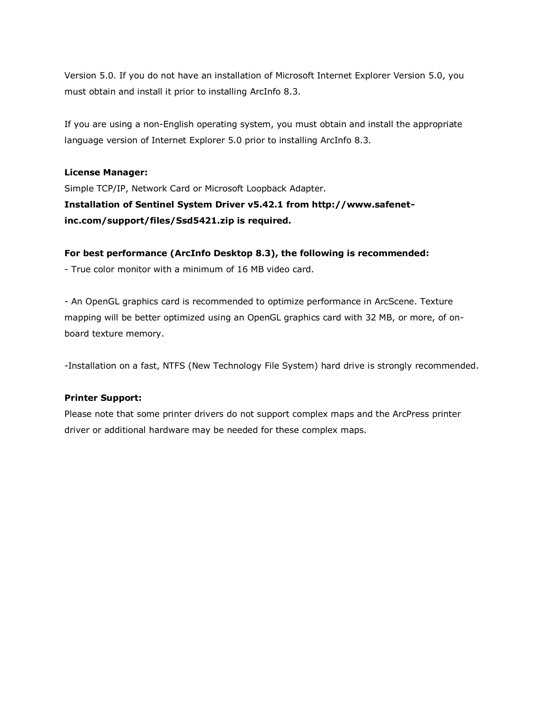Version 5.0. If you do not have an installation of Microsoft Internet Explorer Version 5.0, you must obtain and install it prior to installing ArcInfo 8.3.

If you are using a non-English operating system, you must obtain and install the appropriate language version of Internet Explorer 5.0 prior to installing ArcInfo 8.3.

#### **License Manager:**

Simple TCP/IP, Network Card or Microsoft Loopback Adapter. **Installation of Sentinel System Driver v5.42.1 from http://www.safenetinc.com/support/files/Ssd5421.zip is required.**

#### **For best performance (ArcInfo Desktop 8.3), the following is recommended:**

- True color monitor with a minimum of 16 MB video card.

- An OpenGL graphics card is recommended to optimize performance in ArcScene. Texture mapping will be better optimized using an OpenGL graphics card with 32 MB, or more, of onboard texture memory.

-Installation on a fast, NTFS (New Technology File System) hard drive is strongly recommended.

#### **Printer Support:**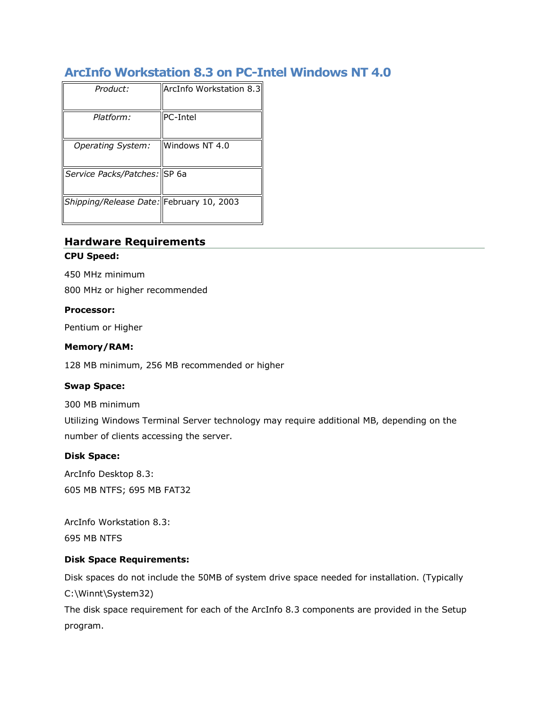# **ArcInfo Workstation 8.3 on PC-Intel Windows NT 4.0**

| Product:                                 | ArcInfo Workstation 8.3 |
|------------------------------------------|-------------------------|
| Platform:                                | <b>PC-Intel</b>         |
| <b>Operating System:</b>                 | Windows NT 4.0          |
| Service Packs/Patches: SP 6a             |                         |
| Shipping/Release Date: February 10, 2003 |                         |

# **Hardware Requirements**

#### **CPU Speed:**

450 MHz minimum

800 MHz or higher recommended

#### **Processor:**

Pentium or Higher

#### **Memory/RAM:**

128 MB minimum, 256 MB recommended or higher

#### **Swap Space:**

300 MB minimum

Utilizing Windows Terminal Server technology may require additional MB, depending on the number of clients accessing the server.

#### **Disk Space:**

ArcInfo Desktop 8.3: 605 MB NTFS; 695 MB FAT32

ArcInfo Workstation 8.3: 695 MB NTFS

#### **Disk Space Requirements:**

Disk spaces do not include the 50MB of system drive space needed for installation. (Typically C:\Winnt\System32)

The disk space requirement for each of the ArcInfo 8.3 components are provided in the Setup program.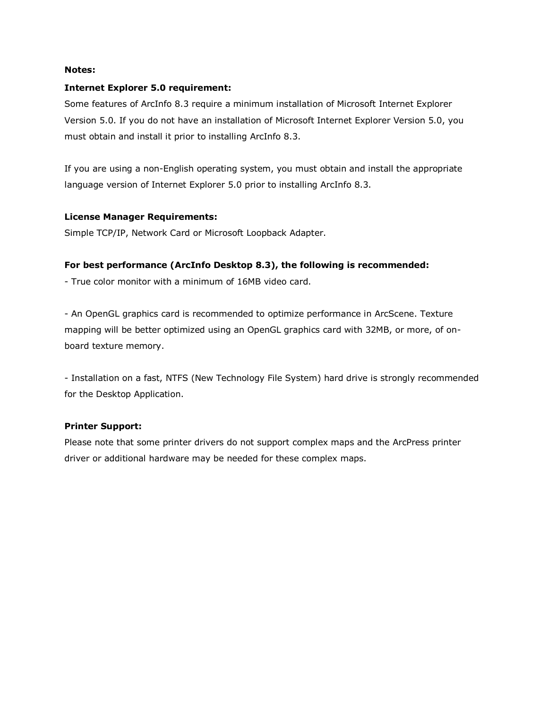#### **Notes:**

#### **Internet Explorer 5.0 requirement:**

Some features of ArcInfo 8.3 require a minimum installation of Microsoft Internet Explorer Version 5.0. If you do not have an installation of Microsoft Internet Explorer Version 5.0, you must obtain and install it prior to installing ArcInfo 8.3.

If you are using a non-English operating system, you must obtain and install the appropriate language version of Internet Explorer 5.0 prior to installing ArcInfo 8.3.

#### **License Manager Requirements:**

Simple TCP/IP, Network Card or Microsoft Loopback Adapter.

#### **For best performance (ArcInfo Desktop 8.3), the following is recommended:**

- True color monitor with a minimum of 16MB video card.

- An OpenGL graphics card is recommended to optimize performance in ArcScene. Texture mapping will be better optimized using an OpenGL graphics card with 32MB, or more, of onboard texture memory.

- Installation on a fast, NTFS (New Technology File System) hard drive is strongly recommended for the Desktop Application.

#### **Printer Support:**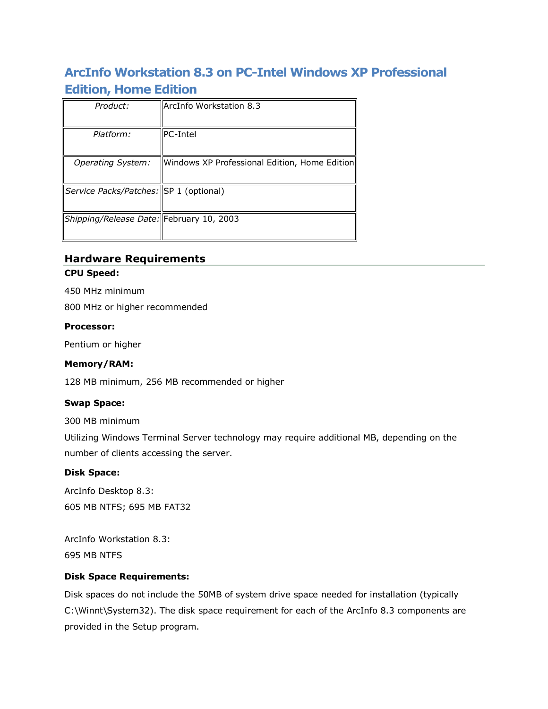# **ArcInfo Workstation 8.3 on PC-Intel Windows XP Professional Edition, Home Edition**

| Product:                                 | ArcInfo Workstation 8.3                       |
|------------------------------------------|-----------------------------------------------|
|                                          |                                               |
| Platform:                                | <b>PC-Intel</b>                               |
| <b>Operating System:</b>                 | Windows XP Professional Edition, Home Edition |
| Service Packs/Patches: SP 1 (optional)   |                                               |
| Shipping/Release Date: February 10, 2003 |                                               |

# **Hardware Requirements CPU Speed:**

450 MHz minimum

800 MHz or higher recommended

#### **Processor:**

Pentium or higher

## **Memory/RAM:**

128 MB minimum, 256 MB recommended or higher

## **Swap Space:**

300 MB minimum

Utilizing Windows Terminal Server technology may require additional MB, depending on the number of clients accessing the server.

#### **Disk Space:**

ArcInfo Desktop 8.3: 605 MB NTFS; 695 MB FAT32

ArcInfo Workstation 8.3: 695 MB NTFS

## **Disk Space Requirements:**

Disk spaces do not include the 50MB of system drive space needed for installation (typically C:\Winnt\System32). The disk space requirement for each of the ArcInfo 8.3 components are provided in the Setup program.